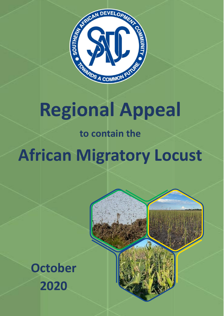

# **Regional Appeal**

**to contain the** 

**African Migratory Locust**



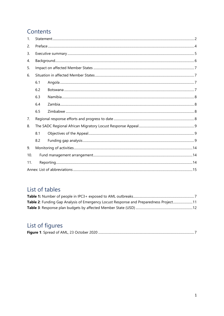# Contents

| $\mathbf{1}$ . |     |  |  |  |  |  |
|----------------|-----|--|--|--|--|--|
| 2.             |     |  |  |  |  |  |
| 3.             |     |  |  |  |  |  |
| 4.             |     |  |  |  |  |  |
| 5.             |     |  |  |  |  |  |
| 6.             |     |  |  |  |  |  |
|                | 6.1 |  |  |  |  |  |
|                | 6.2 |  |  |  |  |  |
|                | 6.3 |  |  |  |  |  |
|                | 6.4 |  |  |  |  |  |
|                | 6.5 |  |  |  |  |  |
| 7.             |     |  |  |  |  |  |
| 8.             |     |  |  |  |  |  |
|                | 8.1 |  |  |  |  |  |
|                | 8.2 |  |  |  |  |  |
| 9.             |     |  |  |  |  |  |
| 10.            |     |  |  |  |  |  |
| 11.            |     |  |  |  |  |  |
|                |     |  |  |  |  |  |

# List of tables

| Table 2: Funding Gap Analysis of Emergency Locust Response and Preparedness Project11 |  |
|---------------------------------------------------------------------------------------|--|
|                                                                                       |  |

# List of figures

|--|--|--|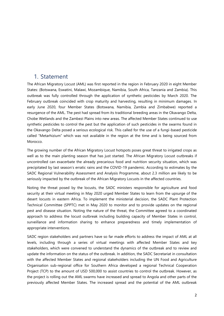## <span id="page-2-0"></span>1. Statement

The African Migratory Locust (AML) was first reported in the region in February 2020 in eight Member States: (Botswana, Eswatini, Malawi, Mozambique, Namibia, South Africa, Tanzania and Zambia). This outbreak was fully controlled through the application of synthetic pesticides by March 2020. The February outbreak coincided with crop maturity and harvesting, resulting in minimum damages. In early June 2020, four Member States (Botswana, Namibia, Zambia and Zimbabwe) reported a resurgence of the AML. The pest had spread from its traditional breeding areas in the Okavango Delta, Chobe Wetlands and the Zambezi Plains into new areas. The affected Member States continued to use synthetic pesticides to control the pest but the application of such pesticides in the swarms found in the Okavango Delta posed a serious ecological risk. This called for the use of a fungi-based pesticide called "Metarhizium" which was not available in the region at the time and is being sourced from Morocco.

The growing number of the African Migratory Locust hotspots poses great threat to irrigated crops as well as to the main planting season that has just started. The African Migratory Locust outbreaks if uncontrolled can exacerbate the already precarious food and nutrition security situation, which was precipitated by last season's erratic rains and the COVID-19 pandemic. According to estimates by the SADC Regional Vulnerability Assessment and Analysis Programme, about 2.3 million are likely to be seriously impacted by the outbreak of the African Migratory Locusts in the affected countries.

Noting the threat posed by the locusts, the SADC ministers responsible for agriculture and food security at their virtual meeting in May 2020 urged Member States to learn from the upsurge of the desert locusts in eastern Africa. To implement the ministerial decision, the SADC Plant Protection Technical Committee (SPPTC) met in May 2020 to monitor and to provide updates on the regional pest and disease situation. Noting the nature of the threat, the Committee agreed to a coordinated approach to address the locust outbreak including building capacity of Member States in control, surveillance and information sharing to enhance preparedness and timely implementation of appropriate interventions.

SADC region stakeholders and partners have so far made efforts to address the impact of AML at all levels, including through a series of virtual meetings with affected Member States and key stakeholders, which were convened to understand the dynamics of the outbreak and to review and update the information on the status of the outbreak. In addition, the SADC Secretariat in consultation with the affected Member States and regional stakeholders including the UN Food and Agriculture Organisation sub-regional office for Southern Africa developed a regional Technical Cooperation Project (TCP) to the amount of USD 500,000 to assist countries to control the outbreak. However, as the project is rolling out the AML swarms have increased and spread to Angola and other parts of the previously affected Member States. The increased spread and the potential of the AML outbreak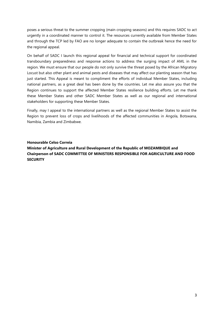poses a serious threat to the summer cropping (main cropping seasons) and this requires SADC to act urgently in a coordinated manner to control it. The resources currently available from Member States and through the TCP led by FAO are no longer adequate to contain the outbreak hence the need for the regional appeal.

On behalf of SADC I launch this regional appeal for financial and technical support for coordinated transboundary preparedness and response actions to address the surging impact of AML in the region. We must ensure that our people do not only survive the threat posed by the African Migratory Locust but also other plant and animal pests and diseases that may affect our planting season that has just started. This Appeal is meant to compliment the efforts of individual Member States, including national partners, as a great deal has been done by the countries. Let me also assure you that the Region continues to support the affected Member States resilience building efforts. Let me thank these Member States and other SADC Member States as well as our regional and international stakeholders for supporting these Member States.

Finally, may I appeal to the international partners as well as the regional Member States to assist the Region to prevent loss of crops and livelihoods of the affected communities in Angola, Botswana, Namibia, Zambia and Zimbabwe.

#### **Honourable Celso Correia**

**Minister of Agriculture and Rural Development of the Republic of MOZAMBIQUE and Chairperson of SADC COMMITTEE OF MINISTERS RESPONSIBLE FOR AGRICULTURE AND FOOD SECURITY**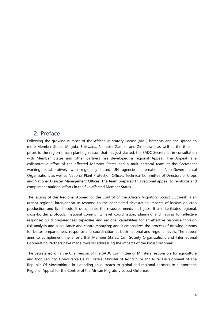## <span id="page-4-0"></span>2. Preface

Following the growing number of the African Migratory Locust (AML) hotspots and the spread to more Member States (Angola, Botswana, Namibia, Zambia and Zimbabwe) as well as the threat it poses to the region's main planting season that has just started, the SADC Secretariat in consultation with Member States and other partners has developed a regional Appeal. The Appeal is a collaborative effort of the affected Member States and a multi-sectoral team at the Secretariat working collaboratively with regionally based UN agencies, International Non-Governmental Organizations as well as National Plant Protection Offices, Technical Committee of Directors of Crops and National Disaster Management Offices. The team prepared this regional appeal to reinforce and compliment national efforts in the five affected Member States.

The issuing of this Regional Appeal for the Control of the African Migratory Locust Outbreak is an urgent regional intervention to respond to the anticipated devastating impacts of locusts on crop production and livelihoods. It documents, the resource needs and gaps. It also facilitates regional, cross-border protocols, national community level coordination, planning and liaising for effective response; build preparedness capacities and regional capabilities for an effective response through risk analysis and surveillance and control/spraying; and it emphasizes the process of drawing lessons for better preparedness, response and coordination at both national and regional levels. The appeal aims to complement the efforts that Member States, Civil Society Organizations and International Cooperating Partners have made towards addressing the impacts of the locust outbreak.

The Secretariat joins the Chairperson of the SADC Committee of Minsters responsible for agriculture and food security, Honourable Celso Correia, Minister of Agriculture and Rural Development of The Republic Of Mozambique in extending an outreach to global and regional partners to support the Regional Appeal for the Control of the African Migratory Locust Outbreak.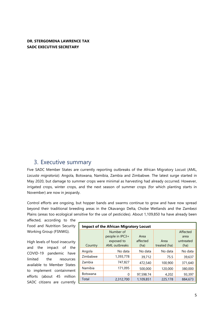#### **DR. STERGOMENA LAWRENCE TAX SADC EXECUTIVE SECRETARY**

## <span id="page-5-0"></span>3. Executive summary

Five SADC Member States are currently reporting outbreaks of the African Migratory Locust (AML, *Locusta migratoria*): Angola, Botswana, Namibia, Zambia and Zimbabwe. The latest surge started in May 2020, but damage to summer crops were minimal as harvesting had already occurred. However, irrigated crops, winter crops, and the next season of summer crops (for which planting starts in November) are now in jeopardy.

Control efforts are ongoing, but hopper bands and swarms continue to grow and have now spread beyond their traditional breeding areas in the Okavango Delta, Chobe Wetlands and the Zambezi Plains (areas too ecological sensitive for the use of pesticides). About 1,109,850 ha have already been

affected, according to the Food and Nutrition Security Working Group (FSNWG).

High levels of food insecurity and the impact of the COVID-19 pandemic have limited the resources available to Member States to implement containment efforts (about 45 million SADC citizens are currently

| <b>Impact of the African Migratory Locust</b> |                      |           |              |           |  |  |  |  |  |
|-----------------------------------------------|----------------------|-----------|--------------|-----------|--|--|--|--|--|
|                                               | Number of            |           |              | Affected  |  |  |  |  |  |
|                                               | people in IPC3+      | Area      |              | area      |  |  |  |  |  |
|                                               | exposed to           | affected  | Area         | untreated |  |  |  |  |  |
| Country                                       | <b>AML</b> outbreaks | (ha)      | treated (ha) | (ha)      |  |  |  |  |  |
| Angola                                        | No data              | No data   | No data      | No data   |  |  |  |  |  |
| Zimbabwe                                      | 1,393,778            | 39,712    | 75.5         | 39,637    |  |  |  |  |  |
| Zambia                                        | 747.827              | 472,540   | 100,900      | 371,640   |  |  |  |  |  |
| Namibia                                       | 171.095              | 500,000   | 120,000      | 380,000   |  |  |  |  |  |
| <b>Botswana</b>                               | O                    | 97,598.74 | 4,202        | 93,397    |  |  |  |  |  |
| Total                                         | 2,312,700            | 1,109,851 | 225,178      | 884,673   |  |  |  |  |  |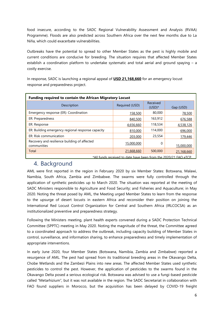food insecure, according to the SADC Regional Vulnerability Assessment and Analysis (RVAA) Programme). Floods are also predicted across Southern Africa over the next few months due to La Niña, which could exacerbate vulnerabilities.

Outbreaks have the potential to spread to other Member States as the pest is highly mobile and current conditions are conducive for breeding. The situation requires that affected Member States establish a coordination platform to undertake systematic and total aerial and ground spaying – a costly exercise.

In response, SADC is launching a regional appeal of **USD 21,168,660** for an emergency locust response and preparedness project.

| <b>Funding required to contain the African Migratory Locust</b> |                |                       |            |  |  |  |
|-----------------------------------------------------------------|----------------|-----------------------|------------|--|--|--|
| Description                                                     | Required (USD) | Received<br>$(USD)^*$ | Gap (USD)  |  |  |  |
| Emergency response (ER): Coordination                           | 158,500        | 80,000                | 78,500     |  |  |  |
| ER: Preparedness                                                | 840,500        | 163,912               | 676,588    |  |  |  |
| ER: Response                                                    | 4,656,660      | 118,534               | 4,538,126  |  |  |  |
| ER: Building emergency regional response capacity               | 810,000        | 114,000               | 696,000    |  |  |  |
| ER: Risk communication                                          | 203,000        | 23,554                | 179,446    |  |  |  |
| Recovery and resilience building of affected<br>communities     | 15,000,000     | 0                     | 15,000,000 |  |  |  |
| Total                                                           | 21,668,660     | 500,000               | 21,168,660 |  |  |  |
| *All funds received to date have been from the 2020/21 FAO eTCP |                |                       |            |  |  |  |

## <span id="page-6-0"></span>4. Background

AML were first reported in the region in February 2020 by six Member States: Botswana, Malawi, Namibia, South Africa, Zambia and Zimbabwe. The swarms were fully controlled through the application of synthetic pesticides up to March 2020. The situation was reported at the meeting of SADC Ministers responsible to Agriculture and Food Security; and Fisheries and Aquaculture; in May 2020. Noting the threat posed by AML, the Meeting urged Member States to learn from the response to the upsurge of desert locusts in eastern Africa and reconsider their position on joining the International Red Locust Control Organization for Central and Southern Africa (IRLCOCSA) as an institutionalized preventive and preparedness strategy.

Following the Ministers meeting, plant health experts convened during a SADC Protection Technical Committee (SPPTC) meeting in May 2020. Noting the magnitude of the threat, the Committee agreed to a coordinated approach to address the outbreak, including capacity building of Member States in control, surveillance, and information sharing, to enhance preparedness and timely implementation of appropriate interventions.

In early June 2020, four Member States (Botswana, Namibia, Zambia and Zimbabwe) reported a resurgence of AML. The pest had spread from its traditional breeding areas in the Okavango Delta, Chobe Wetlands and the Zambezi Plains into new areas. The affected Member States used synthetic pesticides to control the pest. However, the application of pesticides to the swarms found in the Okavango Delta posed a serious ecological risk. Botswana was advised to use a fungi-based pesticide called "Metarhizium"*,* but it was not available in the region. The SADC Secretariat in collaboration with FAO found suppliers in Morocco, but the acquisition has been delayed by COVID-19 freight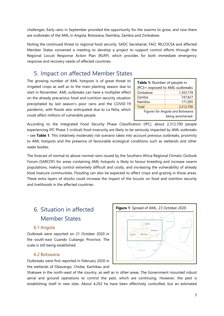challenges. Early rains in September provided the opportunity for the swarms to grow, and now there are outbreaks of the AML in Angola, Botswana, Namibia, Zambia and Zimbabwe.

Noting the continued threat to regional food security, SADC Secretariat, FAO, IRLCOCSA and affected Member States convened a meeting to develop a project to support control efforts through the Regional Locust Response Action Plan (RLRP), which provides for both immediate emergency response and recovery needs of affected countries.

## <span id="page-7-0"></span>5. Impact on affected Member States

The growing number of AML hotspots is of great threat to irrigated crops as well as to the main planting season due to start in November. AML outbreaks can have a multiplier effect on the already precarious food and nutrition security situation precipitated by last season's poor rains and the COVID-19 pandemic, with floods also anticipated due to La Niña, which could affect millions of vulnerable people.

| Table 1: Number of people in    |                                |  |  |  |  |
|---------------------------------|--------------------------------|--|--|--|--|
|                                 | IPC3+ exposed to AML outbreaks |  |  |  |  |
| Zimbabwe                        | 1,393,778                      |  |  |  |  |
| Zambia                          | 747,827                        |  |  |  |  |
| Namibia                         | 171,095                        |  |  |  |  |
| <b>Total</b>                    | 2,312,700                      |  |  |  |  |
| Figures for Angola and Botswana |                                |  |  |  |  |
| being ascertained.              |                                |  |  |  |  |
|                                 |                                |  |  |  |  |

According to the Integrated Food Security Phase Classification (IPC), about 2,312,700 people experiencing IPC Phase 3 (critical) food insecurity are likely to be seriously impacted by AML outbreaks – see **Table 1**. This (relatively moderate) risk scenario takes into account previous outbreaks, proximity to AML hotspots and the presence of favourable ecological conditions such as wetlands and other water bodies.

The forecast of normal to above-normal rains issued by the Southern Africa Regional Climatic Outlook Forum (SARCOF) for areas containing AML hotspots is likely to favour breeding and increase swarm populations, making control extremely difficult and costly, and increasing the vulnerability of already food insecure communities. Flooding can also be expected to affect crops and grazing in those areas. These extra layers of shocks could increase the impact of the locusts on food and nutrition security and livelihoods in the affected countries.

# <span id="page-7-1"></span>6. Situation in affected Member States

#### <span id="page-7-2"></span>6.1 Angola

Outbreak were reported on 21 October 2020 in the south-east Cuando Cubango Province. The scale is still being established.

#### 6.2 Botswana

<span id="page-7-3"></span>Outbreaks were first reported in February 2020 in the wetlands of Okavango, Chobe, Kachikau and



Shakawe in the north-west of the country, as well as in other areas. The Government mounted robust aerial and ground operations to control the pest, which are continuing. However, the pest is establishing itself in new sites. About 4,202 ha have been effectively controlled, but an estimated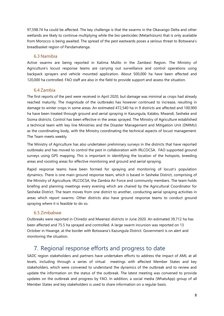97,598.74 ha could be affected. The key challenge is that the swarms in the Okavango Delta and other wetlands are likely to continue multiplying while the bio-pesticides (Metarhizium) that is only available from Morocco is being awaited. The spread of the pest eastwards poses a serious threat to Botswana's breadbasket region of Pandamatenga.

#### 6.3 Namibia

<span id="page-8-0"></span>Active swarms are being reported in Katima Mulilo in the Zambezi Region. The Ministry of Agriculture's locust response teams are carrying out surveillance and control operations using backpack sprayers and vehicle mounted application. About 500,000 ha have been affected and 120,000 ha controlled. FAO staff are also in the field to provide support and assess the situation.

#### 6.4 Zambia

<span id="page-8-1"></span>The first reports of the pest were received in April 2020, but damage was minimal as crops had already reached maturity. The magnitude of the outbreaks has however continued to increase, resulting in damage to winter crops in some areas. An estimated 472,540 ha in 9 districts are affected and 100,900 ha have been treated through ground and aerial spraying in Kazungula, Kalabo, Mwandi, Sesheke and Sioma districts. Control has been effective in the areas sprayed. The Ministry of Agriculture established a technical team with key line Ministries and the Disaster Management and Mitigation Unit (DMMU) as the coordinating body, with the Ministry coordinating the technical aspects of locust management. The Team meets weekly.

The Ministry of Agriculture has also undertaken preliminary surveys in the districts that have reported outbreaks and has moved to control the pest in collaboration with IRLCOCSA. FAO supported ground surveys using GPS mapping. This is important in identifying the location of the hotspots, breeding areas and roosting areas for effective monitoring and ground and aerial spraying.

Rapid response teams have been formed for spraying and monitoring of locust's population dynamics. There is one main ground response team, which is based in Sesheke District, comprising of the Ministry of Agriculture, IRLCOCSA, the Zambia Air Force and community members. The team holds briefing and planning meetings every evening which are chaired by the Agricultural Coordinator for Sesheke District. The team moves from one district to another, conducting aerial spraying activities in areas which report swarms. Other districts also have ground response teams to conduct ground spraying where it is feasible to do so.

#### 6.5 Zimbabwe

<span id="page-8-2"></span>Outbreaks were reported in Chiredzi and Mwenezi districts in June 2020. An estimated 39,712 ha has been affected and 75.5 ha sprayed and controlled. A large swarm incursion was reported on 13 October in Hwange, at the border with Botswana's Kazungula District. Government is on alert and monitoring the situation.

# <span id="page-8-3"></span>7. Regional response efforts and progress to date

SADC region stakeholders and partners have undertaken efforts to address the impact of AML at all levels, including through a series of virtual meetings with affected Member States and key stakeholders, which were convened to understand the dynamics of the outbreak and to review and update the information on the status of the outbreak. The latest meeting was convened to provide updates on the outbreak and progress by FAO. In addition, a social media (WhatsApp) group of all Member States and key stakeholders is used to share information on a regular basis.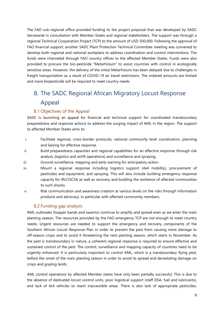The FAO sub-regional office provided funding to the project proposal that was developed by SADC Secretariat in consultation with Member States and regional stakeholders. The support was through a regional Technical Cooperation Project (TCP) to the amount of USD 500,000. Following the approval of FAO financial support, another SADC Plant Protection Technical Committee meeting was convened to develop both regional and national workplans to address coordination and control interventions. The funds were channeled through FAO country offices to the affected Member States. Funds were also provided to procure the bio-pesticide "Metarhizium" to assist countries with control in ecologically sensitive areas. However, the delivery of the initial Metarhizium has been delayed due to challenges in freight transportation as a result of COVID-19 air travel restrictions. The ordered amounts are limited and more biopesticide will be required to meet country needs.

# <span id="page-9-0"></span>8. The SADC Regional African Migratory Locust Response Appeal

#### <span id="page-9-1"></span>8.1 Objectives of the Appeal

SADC is launching an appeal for financial and technical support for coordinated transboundary preparedness and response actions to address the surging impact of AML in the region. The support to affected Member States aims to:

- i. Facilitate regional, cross-border protocols, national community level coordination, planning and liaising for effective response.
- ii. Build preparedness capacities and regional capabilities for an effective response through risk analysis (logistics and airlift operations) and surveillance and spraying.
- iii. Ground surveillance, mapping and early warning for anticipatory action.
- iv. Mount a regional response including logistics support (4x4 mobility), procurement of pesticides and equipment, and spraying. This will also include building emergency response capacity for IRLCOCSA as well as recovery and building the resilience of affected communities to such shocks.
- v. Risk communication and awareness creation at various levels on the risks through information products and advocacy, in particular with affected community members.

#### 8.2 Funding gap analysis

<span id="page-9-2"></span>AML outbreaks (hopper bands and swarms) continue to amplify and spread even as we enter the main planting season. The resources provided by the FAO emergency TCP are not enough to meet country needs. Urgent resources are needed to support the emergency and recovery components of the Southern African Locust Response Plan in order to prevent the pest from causing more damage to off-season crops and to avoid it threatening the next planting season, which starts in November. As the pest is transboundary in nature, a coherent regional response is required to ensure effective and sustained control of the pest. The control, surveillance and mapping capacity of countries need to be urgently enhanced. It is particularly important to control AML, which is a transboundary flying pest, before the onset of the main planting season in order to avoid its spread and devastating damage on crops and grazing lands.

AML control operations by affected Member states have only been partially successful. This is due to the absence of dedicated locust control units, poor logistical support (staff DSA, fuel and lubricants), and lack of 4x4 vehicles to reach inaccessible areas. There is also lack of appropriate pesticides,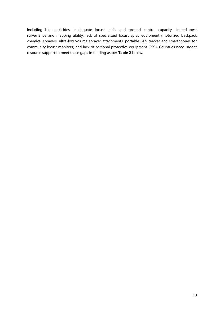including bio pesticides, inadequate locust aerial and ground control capacity, limited pest surveillance and mapping ability, lack of specialized locust spray equipment (motorized backpack chemical sprayers, ultra-low volume sprayer attachments, portable GPS tracker and smartphones for community locust monitors) and lack of personal protective equipment (PPE). Countries need urgent resource support to meet these gaps in funding as per **Table 2** below.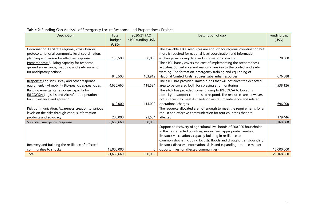<span id="page-11-1"></span><span id="page-11-0"></span>

| Description                                            | Total      | 2020/21 FAO      | Description of gap                                                    | Funding gap |
|--------------------------------------------------------|------------|------------------|-----------------------------------------------------------------------|-------------|
|                                                        | budget     | eTCP funding USD |                                                                       | (USD)       |
|                                                        | (USD)      |                  |                                                                       |             |
| Coordination: Facilitate regional, cross-border        |            |                  | The available eTCP resources are enough for regional coordination but |             |
| protocols, national community level coordination,      |            |                  | more is required for national level coordination and information      |             |
| planning and liaison for effective response.           | 158,500    | 80,000           | exchange, including data and information collection.                  | 78,500      |
| Preparedness: Building capacity for response,          |            |                  | The eTCP barely covers the cost of implementing the preparedness      |             |
| ground surveillance, mapping and early warning         |            |                  | activities. Surveillance and mapping are key to the control and early |             |
| for anticipatory actions.                              |            |                  | warning. The formation, emergency training and equipping of           |             |
|                                                        | 840,500    | 163,912          | National Control Units requires substantial resources                 | 676,588     |
| Response: Logistics, spray and other response          |            |                  | The eTCP has provided limited funds that will not cover the expected  |             |
| equipment, 4x4 mobility Bio-pesticides/pesticides.     | 4,656,660  | 118,534          | area to be covered both for spraying and monitoring                   | 4,538,126   |
| Building emergency response capacity for               |            |                  | The eTCP has provided some funding to IRLCOCSA to boost its           |             |
| <b>IRLCOCSA: Logistics and Aircraft and operations</b> |            |                  | capacity to support countries to respond. The resources are, however, |             |
| for surveillance and spraying                          |            |                  | not sufficient to meet its needs on aircraft maintenance and related  |             |
|                                                        | 810,000    | 114,000          | operational charges.                                                  | 696,000     |
| Risk communication: Awareness creation to various      |            |                  | The resource allocated are not enough to meet the requirements for a  |             |
| levels on the risks through various information        |            |                  | robust and effective communication for four countries that are        |             |
| products and advocacy                                  | 203,000    | 23,554           | affected                                                              | 179,446     |
| Subtotal Emergency Response                            | 6,668,660  | 500,000          |                                                                       | 6,168,660   |
|                                                        |            |                  | Support to recovery of agricultural livelihoods of 200,000 households |             |
|                                                        |            |                  | in the four affected countries; e-vouchers, appropriate varieties,    |             |
|                                                        |            |                  | livestock vaccinations, capacity building in resilience to            |             |
|                                                        |            |                  | common shocks including locusts, floods and drought, transboundary    |             |
| Recovery and building the resilience of affected       |            |                  | livestock diseases (information, skills and expanding produce market  |             |
| communities to shocks                                  | 15,000,000 | $\Omega$         | opportunities for affected communities).                              | 15,000,000  |
| Total                                                  | 21,668,660 | 500,000          |                                                                       | 21,168,660  |

## **Table 2**: Funding Gap Analysis of Emergency Locust Response and Preparedness Project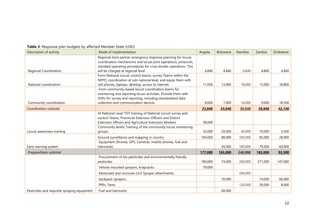| Description of activity                     | Mode of implementation                                          | Angola  | Botswana | Namibia | Zambia  | Zimbabwe |
|---------------------------------------------|-----------------------------------------------------------------|---------|----------|---------|---------|----------|
|                                             | Regional Joint partner emergency response planning for locust,  |         |          |         |         |          |
|                                             | coordination mechanisms and locust joint operations, protocols, |         |          |         |         |          |
|                                             | standard operating procedures for cross border operations. This |         |          |         |         |          |
| Regional Coordination                       | will be charged at regional level                               | 4,840   | 4,840    | 4,840   | 4,840   | 4,840    |
|                                             | Form National Locust control teams, survey Teams within the     |         |          |         |         |          |
|                                             | NPPO, coordination at sub-national level, and equip them with   |         |          |         |         |          |
| National coordination                       | cell phones, laptops, desktop, access to internet.              | 11,000  | 13,000   | 18,000  | 15,000  | 18,800   |
|                                             | Form community-based locust coordination teams for              |         |          |         |         |          |
|                                             | monitoring and reporting locust activities. Provide them with   |         |          |         |         |          |
|                                             | SOPs for survey and reporting, including standardized data      |         |          |         |         |          |
| Community coordination                      | collection and communication devices                            | 8,000   | 7,000    | 16,000  | 9,000   | 18,500   |
| Coordination subtotal                       |                                                                 | 23,840  | 24,840   | 38,840  | 28,840  | 42,140   |
|                                             | At National Level TOT training of National Locust survey and    |         |          |         |         |          |
|                                             | control Teams, Provincial Extension Officers and District       |         |          |         |         |          |
|                                             | Extension officers and Agriculture Extension Workers            | 38,000  |          |         |         |          |
|                                             | Community levels; Training of the community locust monitoring   |         |          |         |         |          |
| Locust awareness training                   | groups                                                          | 35,000  | 20,000   | 40,000  | 10,000  | 5,500    |
|                                             | Ground surveillance and mapping in country                      | 104,000 | 80,000   | 100,000 | 85,000  | 28,000   |
|                                             | Equipment (Drones, GPS, Cameras, mobile phones, fuel and        |         |          |         |         |          |
| Early warning system                        | lubricants)                                                     |         | 65,000   | 100,000 | 70,000  | 60,000   |
| Preparedness subtotal                       |                                                                 | 177,000 | 165,000  | 240,000 | 165,000 | 93,500   |
|                                             | Procurement of bio pesticides and environmentally friendly      |         |          |         |         |          |
|                                             | pesticides                                                      | 180,000 | 74,000   | 200,000 | 371,000 | 147,000  |
|                                             | Vehicle mounted sprayers, knapsacks.                            | 79,000  |          |         |         |          |
|                                             | Motorized and micronex ULV Sprayer attachments,                 |         |          | 200,000 |         |          |
|                                             | backpack sprayers,                                              |         | 70,000   |         | 74,000  | 60,000   |
|                                             | PPEs, Tents                                                     |         |          | 120,000 | 30,000  | 8,000    |
| Pesticides and requisite spraying equipment | Fuel and lubricants                                             |         | 60,000   |         |         |          |

#### **Table 3**: Response plan budgets by affected Member State (USD)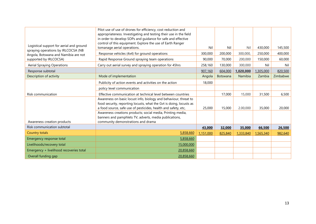| Logistical support for aerial and ground<br>spraying operations by IRLCOCSA (NB | Pilot use of use of drones for efficiency, cost reduction and<br>appropriateness. Investigating and testing their use in the field<br>in order to develop SOPs and guidance for safe and effective<br>control of this equipment. Explore the use of Earth Ranger<br>tomanage aerial operations. | Nil       | Nil      | Nil       | 430,000   | 145,500  |
|---------------------------------------------------------------------------------|-------------------------------------------------------------------------------------------------------------------------------------------------------------------------------------------------------------------------------------------------------------------------------------------------|-----------|----------|-----------|-----------|----------|
| Angola, Botswana and Namibia are not                                            | Response vehicles (4x4) for ground operations                                                                                                                                                                                                                                                   | 300,000   | 200,000  | 300,000,  | 250,000   | 400,000  |
| supported by IRLCOCSA)                                                          | Rapid Response Ground spraying team operations                                                                                                                                                                                                                                                  | 90,000    | 70,000   | 200,000   | 150,000   | 60,000   |
| <b>Aerial Spraying Operations</b>                                               | Carry out aerial survey and spraying operation for 45hrs                                                                                                                                                                                                                                        | 258,160   | 130,000  | 300,000   | Nil       | Nil      |
| Response subtotal                                                               |                                                                                                                                                                                                                                                                                                 | 907,160   | 604,000  | 1,020,000 | 1,305,000 | 820,500  |
| Description of activity                                                         | Mode of implementation                                                                                                                                                                                                                                                                          | Angola    | Botswana | Namibia   | Zambia    | Zimbabwe |
|                                                                                 | Publicity of action events and activities on the action                                                                                                                                                                                                                                         | 18,000    |          |           |           |          |
|                                                                                 | policy level communication                                                                                                                                                                                                                                                                      |           |          |           |           |          |
| Risk communication                                                              | Effective communication at technical level between countries                                                                                                                                                                                                                                    |           | 17,000   | 15,000    | 31,500    | 6,500    |
|                                                                                 | Awareness on basic locust info, biology and behaviour, threat to<br>food security, reporting locusts, what the Gvt is doing, locusts as                                                                                                                                                         |           |          |           |           |          |
|                                                                                 | a food source, safe use of pesticides, health and safety, etc,<br>Awareness creations products; social media, Printing media,                                                                                                                                                                   | 25,000    | 15,000   | 2.00,000  | 35,000    | 20,000   |
|                                                                                 | banners and pamphlets TV, adverts, media publications,                                                                                                                                                                                                                                          |           |          |           |           |          |
| Awareness creation products                                                     | community demonstrations and drama                                                                                                                                                                                                                                                              |           |          |           |           |          |
| Risk communication subtotal                                                     |                                                                                                                                                                                                                                                                                                 | 43,000    | 32,000   | 35,000    | 66,500    | 26,500   |
| Country totals                                                                  | 5,858,660                                                                                                                                                                                                                                                                                       | 1,151,000 | 825,840  | 1,333,840 | 1,565,340 | 982,640  |
| Emergency response total                                                        | 5,858,660                                                                                                                                                                                                                                                                                       |           |          |           |           |          |
| Livelihoods/recovery total                                                      | 15,000,000                                                                                                                                                                                                                                                                                      |           |          |           |           |          |
| Emergency + livelihood recoveries total                                         | 20,858,660                                                                                                                                                                                                                                                                                      |           |          |           |           |          |
| Overall funding gap                                                             | 20,858,660                                                                                                                                                                                                                                                                                      |           |          |           |           |          |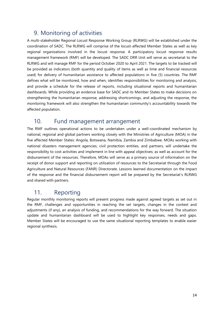# <span id="page-14-0"></span>9. Monitoring of activities

A multi-stakeholder Regional Locust Response Working Group (RLRWG) will be established under the coordination of SADC. The RLRWG will comprise of the locust-affected Member States as well as key regional organizations involved in the locust response. A participatory locust response results management framework (RMF) will be developed. The SADC DRR Unit will serve as secretariat to the RLRWG and will manage RMF for the period October 2020 to April 2021. The targets to be tracked will be provided as indicators (both quantity and quality of items as well as time and financial resources used) for delivery of humanitarian assistance to affected populations in five (5) countries. The RMF defines what will be monitored, how and when, identifies responsibilities for monitoring and analysis, and provide a schedule for the release of reports, including situational reports and humanitarian dashboards. While providing an evidence base for SADC and its Member States to make decisions on strengthening the humanitarian response, addressing shortcomings, and adjusting the response, the monitoring framework will also strengthen the humanitarian community's accountability towards the affected population.

## <span id="page-14-1"></span>10. Fund management arrangement

The RMF outlines operational actions to be undertaken under a well-coordinated mechanism by national, regional and global partners working closely with the Ministries of Agriculture (MOA) in the five affected Member States: Angola, Botswana, Namibia, Zambia and Zimbabwe. MOAs working with national disasters management agencies, civil protection entities, and partners, will undertake the responsibility to cost activities and implement in line with appeal objectives; as well as account for the disbursement of the resources. Therefore, MOAs will serve as a primary source of information on the receipt of donor support and reporting on utilisation of resources to the Secretariat through the Food Agriculture and Natural Resources (FANR) Directorate. Lessons learned documentation on the impact of the response and the financial disbursement report will be prepared by the Secretariat's RLRWG and shared with partners.

# <span id="page-14-2"></span>11. Reporting

Regular monthly monitoring reports will present progress made against agreed targets as set out in the RMF, challenges and opportunities in reaching the set targets, changes in the context and adjustments (if any), an analysis of funding, and recommendations for the way forward. The situation update and humanitarian dashboard will be used to highlight key responses, needs and gaps. Member States will be encouraged to use the same situational reporting templates to enable easier regional synthesis.